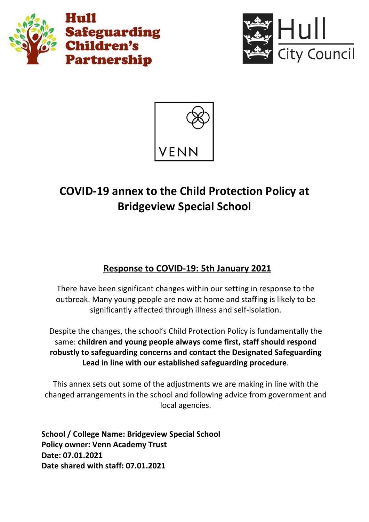





# **COVID-19 annex to the Child Protection Policy at Bridgeview Special School**

# **Response to COVID-19: 5th January 2021**

There have been significant changes within our setting in response to the outbreak. Many young people are now at home and staffing is likely to be significantly affected through illness and self-isolation.

Despite the changes, the school's Child Protection Policy is fundamentally the same: **children and young people always come first, staff should respond robustly to safeguarding concerns and contact the Designated Safeguarding Lead in line with our established safeguarding procedure**.

This annex sets out some of the adjustments we are making in line with the changed arrangements in the school and following advice from government and local agencies.

**School / College Name: Bridgeview Special School Policy owner: Venn Academy Trust Date: 07.01.2021 Date shared with staff: 07.01.2021**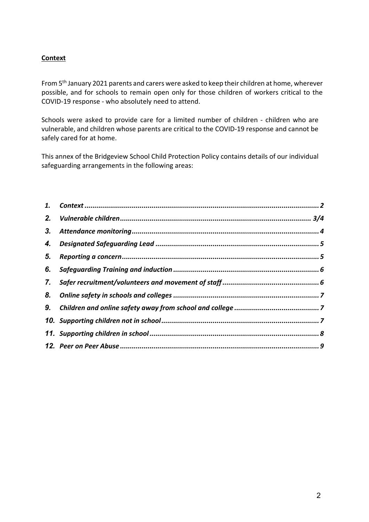# **Context**

From 5th January 2021 parents and carers were asked to keep their children at home, wherever possible, and for schools to remain open only for those children of workers critical to the COVID-19 response - who absolutely need to attend.

Schools were asked to provide care for a limited number of children - children who are vulnerable, and children whose parents are critical to the COVID-19 response and cannot be safely cared for at home.

This annex of the Bridgeview School Child Protection Policy contains details of our individual safeguarding arrangements in the following areas:

| 2. |  |
|----|--|
| 3. |  |
| 4. |  |
| 5. |  |
| 6. |  |
| 7. |  |
| 8. |  |
| 9. |  |
|    |  |
|    |  |
|    |  |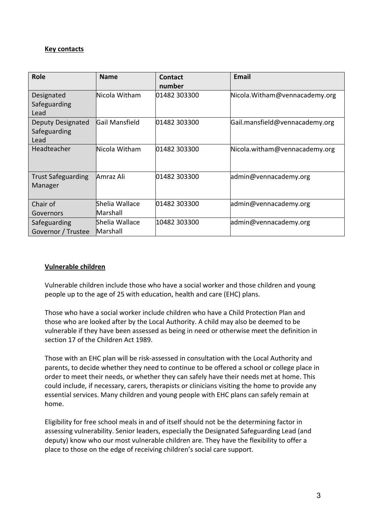## **Key contacts**

| <b>Role</b>                               | <b>Name</b>                | Contact<br>number | <b>Email</b>                   |
|-------------------------------------------|----------------------------|-------------------|--------------------------------|
| Designated<br>Safeguarding<br>Lead        | Nicola Witham              | 01482 303300      | Nicola. Witham@vennacademy.org |
| Deputy Designated<br>Safeguarding<br>Lead | Gail Mansfield             | 01482 303300      | Gail.mansfield@vennacademy.org |
| Headteacher                               | Nicola Witham              | 01482 303300      | Nicola.witham@vennacademy.org  |
| <b>Trust Safeguarding</b><br>Manager      | Amraz Ali                  | 01482 303300      | admin@vennacademy.org          |
| Chair of<br>Governors                     | Shelia Wallace<br>Marshall | 01482 303300      | admin@vennacademy.org          |
| Safeguarding<br>Governor / Trustee        | Shelia Wallace<br>Marshall | 10482 303300      | admin@vennacademy.org          |

#### **Vulnerable children**

Vulnerable children include those who have a social worker and those children and young people up to the age of 25 with education, health and care (EHC) plans.

Those who have a social worker include children who have a Child Protection Plan and those who are looked after by the Local Authority. A child may also be deemed to be vulnerable if they have been assessed as being in need or otherwise meet the definition in section 17 of the Children Act 1989.

Those with an EHC plan will be risk-assessed in consultation with the Local Authority and parents, to decide whether they need to continue to be offered a school or college place in order to meet their needs, or whether they can safely have their needs met at home. This could include, if necessary, carers, therapists or clinicians visiting the home to provide any essential services. Many children and young people with EHC plans can safely remain at home.

Eligibility for free school meals in and of itself should not be the determining factor in assessing vulnerability. Senior leaders, especially the Designated Safeguarding Lead (and deputy) know who our most vulnerable children are. They have the flexibility to offer a place to those on the edge of receiving children's social care support.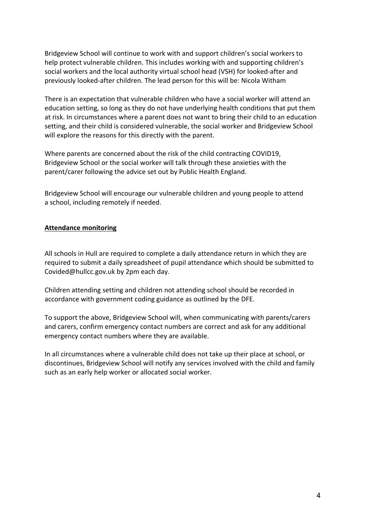Bridgeview School will continue to work with and support children's social workers to help protect vulnerable children. This includes working with and supporting children's social workers and the local authority virtual school head (VSH) for looked-after and previously looked-after children. The lead person for this will be: Nicola Witham

There is an expectation that vulnerable children who have a social worker will attend an education setting, so long as they do not have underlying health conditions that put them at risk. In circumstances where a parent does not want to bring their child to an education setting, and their child is considered vulnerable, the social worker and Bridgeview School will explore the reasons for this directly with the parent.

Where parents are concerned about the risk of the child contracting COVID19, Bridgeview School or the social worker will talk through these anxieties with the parent/carer following the advice set out by Public Health England.

Bridgeview School will encourage our vulnerable children and young people to attend a school, including remotely if needed.

#### **Attendance monitoring**

All schools in Hull are required to complete a daily attendance return in which they are required to submit a daily spreadsheet of pupil attendance which should be submitted to Covided@hullcc.gov.uk by 2pm each day.

Children attending setting and children not attending school should be recorded in accordance with government coding guidance as outlined by the DFE.

To support the above, Bridgeview School will, when communicating with parents/carers and carers, confirm emergency contact numbers are correct and ask for any additional emergency contact numbers where they are available.

In all circumstances where a vulnerable child does not take up their place at school, or discontinues, Bridgeview School will notify any services involved with the child and family such as an early help worker or allocated social worker.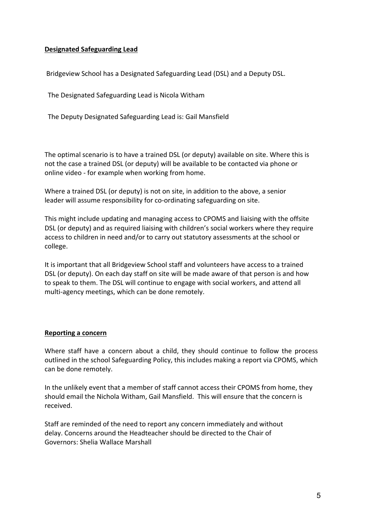## **Designated Safeguarding Lead**

Bridgeview School has a Designated Safeguarding Lead (DSL) and a Deputy DSL.

The Designated Safeguarding Lead is Nicola Witham

The Deputy Designated Safeguarding Lead is: Gail Mansfield

The optimal scenario is to have a trained DSL (or deputy) available on site. Where this is not the case a trained DSL (or deputy) will be available to be contacted via phone or online video - for example when working from home.

Where a trained DSL (or deputy) is not on site, in addition to the above, a senior leader will assume responsibility for co-ordinating safeguarding on site.

This might include updating and managing access to CPOMS and liaising with the offsite DSL (or deputy) and as required liaising with children's social workers where they require access to children in need and/or to carry out statutory assessments at the school or college.

It is important that all Bridgeview School staff and volunteers have access to a trained DSL (or deputy). On each day staff on site will be made aware of that person is and how to speak to them. The DSL will continue to engage with social workers, and attend all multi-agency meetings, which can be done remotely.

#### **Reporting a concern**

Where staff have a concern about a child, they should continue to follow the process outlined in the school Safeguarding Policy, this includes making a report via CPOMS, which can be done remotely.

In the unlikely event that a member of staff cannot access their CPOMS from home, they should email the Nichola Witham, Gail Mansfield. This will ensure that the concern is received.

Staff are reminded of the need to report any concern immediately and without delay. Concerns around the Headteacher should be directed to the Chair of Governors: Shelia Wallace Marshall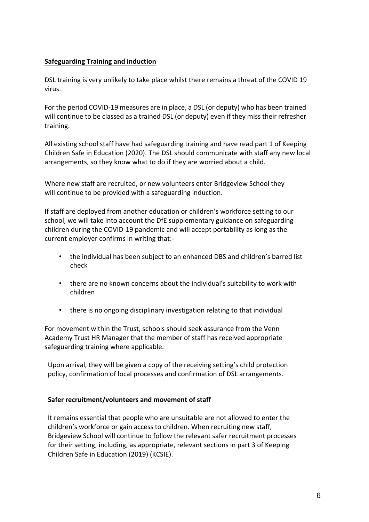# **Safeguarding Training and induction**

DSL training is very unlikely to take place whilst there remains a threat of the COVID 19 virus.

For the period COVID-19 measures are in place, a DSL (or deputy) who has been trained will continue to be classed as a trained DSL (or deputy) even if they miss their refresher training.

All existing school staff have had safeguarding training and have read part 1 of Keeping Children Safe in Education (2020). The DSL should communicate with staff any new local arrangements, so they know what to do if they are worried about a child.

Where new staff are recruited, or new volunteers enter Bridgeview School they will continue to be provided with a safeguarding induction.

If staff are deployed from another education or children's workforce setting to our school, we will take into account the DfE supplementary guidance on safeguarding children during the COVID-19 pandemic and will accept portability as long as the current employer confirms in writing that:-

- the individual has been subject to an enhanced DBS and children's barred list check
- there are no known concerns about the individual's suitability to work with children
- there is no ongoing disciplinary investigation relating to that individual

For movement within the Trust, schools should seek assurance from the Venn Academy Trust HR Manager that the member of staff has received appropriate safeguarding training where applicable.

Upon arrival, they will be given a copy of the receiving setting's child protection policy, confirmation of local processes and confirmation of DSL arrangements.

## **Safer recruitment/volunteers and movement of staff**

It remains essential that people who are unsuitable are not allowed to enter the children's workforce or gain access to children. When recruiting new staff, Bridgeview School will continue to follow the relevant safer recruitment processes for their setting, including, as appropriate, relevant sections in part 3 of Keeping Children Safe in Education (2019) (KCSIE).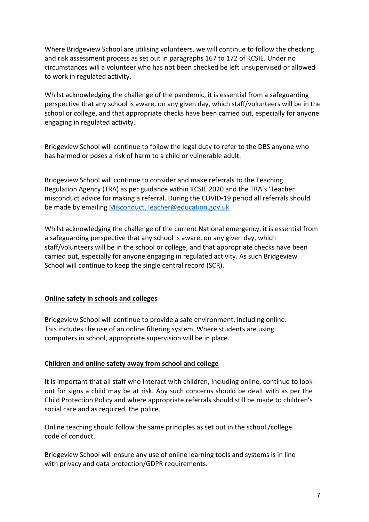Where Bridgeview School are utilising volunteers, we will continue to follow the checking and risk assessment process as set out in paragraphs 167 to 172 of KCSIE. Under no circumstances will a volunteer who has not been checked be left unsupervised or allowed to work in regulated activity.

Whilst acknowledging the challenge of the pandemic, it is essential from a safeguarding perspective that any school is aware, on any given day, which staff/volunteers will be in the school or college, and that appropriate checks have been carried out, especially for anyone engaging in regulated activity.

Bridgeview School will continue to follow the legal duty to refer to the DBS anyone who has harmed or poses a risk of harm to a child or vulnerable adult.

Bridgeview School will continue to consider and make referrals to the Teaching Regulation Agency (TRA) as per guidance within KCSIE 2020 and the TRA's 'Teacher misconduct advice for making a referral. During the COVID-19 period all referrals should be made by emailing [Misconduct.Teacher@education.gov.uk](mailto:Misconduct.Teacher@education.gov.uk)

Whilst acknowledging the challenge of the current National emergency, it is essential from a safeguarding perspective that any school is aware, on any given day, which staff/volunteers will be in the school or college, and that appropriate checks have been carried out, especially for anyone engaging in regulated activity. As such Bridgeview School will continue to keep the single central record (SCR).

## **Online safety in schools and colleges**

Bridgeview School will continue to provide a safe environment, including online. This includes the use of an online filtering system. Where students are using computers in school, appropriate supervision will be in place.

## **Children and online safety away from school and college**

It is important that all staff who interact with children, including online, continue to look out for signs a child may be at risk. Any such concerns should be dealt with as per the Child Protection Policy and where appropriate referrals should still be made to children's social care and as required, the police.

Online teaching should follow the same principles as set out in the school /college code of conduct.

Bridgeview School will ensure any use of online learning tools and systems is in line with privacy and data protection/GDPR requirements.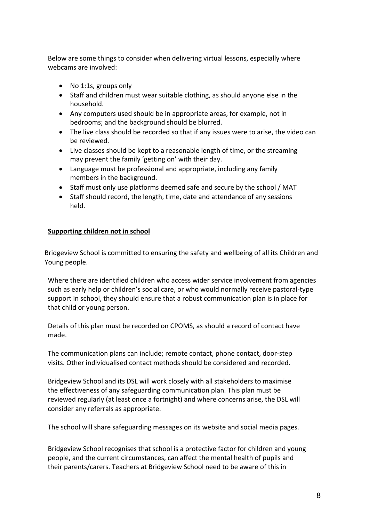Below are some things to consider when delivering virtual lessons, especially where webcams are involved:

- No 1:1s, groups only
- Staff and children must wear suitable clothing, as should anyone else in the household.
- Any computers used should be in appropriate areas, for example, not in bedrooms; and the background should be blurred.
- The live class should be recorded so that if any issues were to arise, the video can be reviewed.
- Live classes should be kept to a reasonable length of time, or the streaming may prevent the family 'getting on' with their day.
- Language must be professional and appropriate, including any family members in the background.
- Staff must only use platforms deemed safe and secure by the school / MAT
- Staff should record, the length, time, date and attendance of any sessions held.

## **Supporting children not in school**

Bridgeview School is committed to ensuring the safety and wellbeing of all its Children and Young people.

Where there are identified children who access wider service involvement from agencies such as early help or children's social care, or who would normally receive pastoral-type support in school, they should ensure that a robust communication plan is in place for that child or young person.

Details of this plan must be recorded on CPOMS, as should a record of contact have made.

The communication plans can include; remote contact, phone contact, door-step visits. Other individualised contact methods should be considered and recorded.

Bridgeview School and its DSL will work closely with all stakeholders to maximise the effectiveness of any safeguarding communication plan. This plan must be reviewed regularly (at least once a fortnight) and where concerns arise, the DSL will consider any referrals as appropriate.

The school will share safeguarding messages on its website and social media pages.

Bridgeview School recognises that school is a protective factor for children and young people, and the current circumstances, can affect the mental health of pupils and their parents/carers. Teachers at Bridgeview School need to be aware of this in